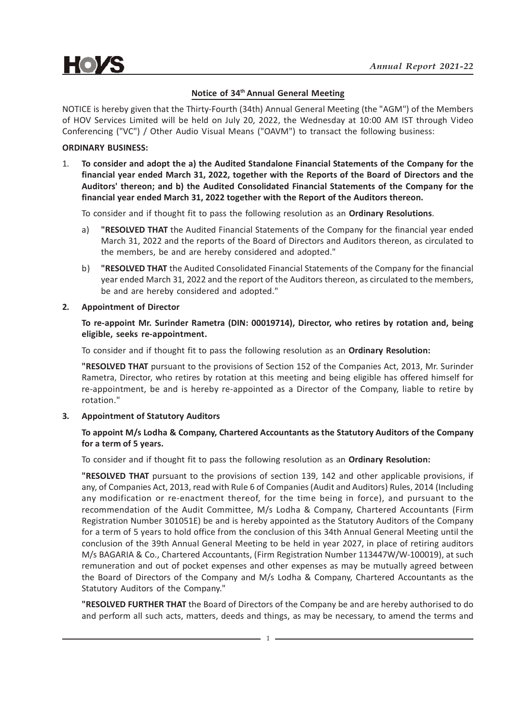## Notice of 34th Annual General Meeting

NOTICE is hereby given that the Thirty-Fourth (34th) Annual General Meeting (the "AGM") of the Members of HOV Services Limited will be held on July 20, 2022, the Wednesday at 10:00 AM IST through Video Conferencing ("VC") / Other Audio Visual Means ("OAVM") to transact the following business:

## ORDINARY BUSINESS:

1. To consider and adopt the a) the Audited Standalone Financial Statements of the Company for the financial year ended March 31, 2022, together with the Reports of the Board of Directors and the Auditors' thereon; and b) the Audited Consolidated Financial Statements of the Company for the financial year ended March 31, 2022 together with the Report of the Auditors thereon.

To consider and if thought fit to pass the following resolution as an Ordinary Resolutions.

- a) "RESOLVED THAT the Audited Financial Statements of the Company for the financial year ended March 31, 2022 and the reports of the Board of Directors and Auditors thereon, as circulated to the members, be and are hereby considered and adopted."
- b) "RESOLVED THAT the Audited Consolidated Financial Statements of the Company for the financial year ended March 31, 2022 and the report of the Auditors thereon, as circulated to the members, be and are hereby considered and adopted."

#### 2. Appointment of Director

#### To re-appoint Mr. Surinder Rametra (DIN: 00019714), Director, who retires by rotation and, being eligible, seeks re-appointment.

To consider and if thought fit to pass the following resolution as an Ordinary Resolution:

"RESOLVED THAT pursuant to the provisions of Section 152 of the Companies Act, 2013, Mr. Surinder Rametra, Director, who retires by rotation at this meeting and being eligible has offered himself for re-appointment, be and is hereby re-appointed as a Director of the Company, liable to retire by rotation."

## 3. Appointment of Statutory Auditors

#### To appoint M/s Lodha & Company, Chartered Accountants as the Statutory Auditors of the Company for a term of 5 years.

To consider and if thought fit to pass the following resolution as an Ordinary Resolution:

"RESOLVED THAT pursuant to the provisions of section 139, 142 and other applicable provisions, if any, of Companies Act, 2013, read with Rule 6 of Companies (Audit and Auditors) Rules, 2014 (Including any modification or re-enactment thereof, for the time being in force), and pursuant to the recommendation of the Audit Committee, M/s Lodha & Company, Chartered Accountants (Firm Registration Number 301051E) be and is hereby appointed as the Statutory Auditors of the Company for a term of 5 years to hold office from the conclusion of this 34th Annual General Meeting until the conclusion of the 39th Annual General Meeting to be held in year 2027, in place of retiring auditors M/s BAGARIA & Co., Chartered Accountants, (Firm Registration Number 113447W/W-100019), at such remuneration and out of pocket expenses and other expenses as may be mutually agreed between the Board of Directors of the Company and M/s Lodha & Company, Chartered Accountants as the Statutory Auditors of the Company."

"RESOLVED FURTHER THAT the Board of Directors of the Company be and are hereby authorised to do and perform all such acts, matters, deeds and things, as may be necessary, to amend the terms and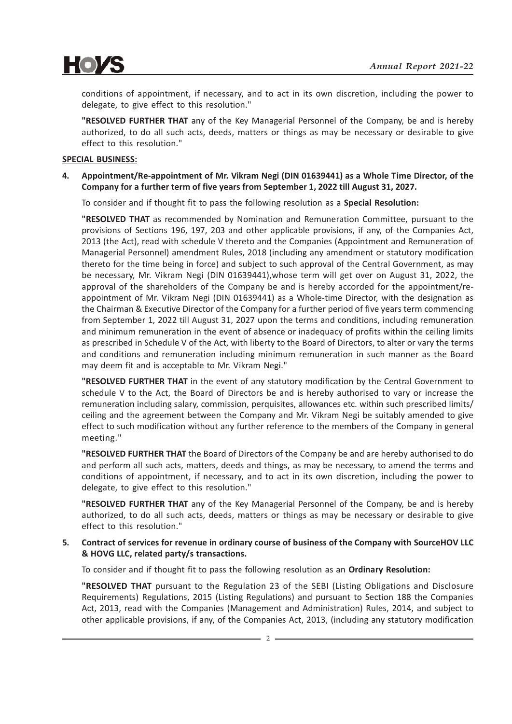

conditions of appointment, if necessary, and to act in its own discretion, including the power to delegate, to give effect to this resolution."

"RESOLVED FURTHER THAT any of the Key Managerial Personnel of the Company, be and is hereby authorized, to do all such acts, deeds, matters or things as may be necessary or desirable to give effect to this resolution."

#### SPECIAL BUSINESS:

#### 4. Appointment/Re-appointment of Mr. Vikram Negi (DIN 01639441) as a Whole Time Director, of the Company for a further term of five years from September 1, 2022 till August 31, 2027.

To consider and if thought fit to pass the following resolution as a Special Resolution:

"RESOLVED THAT as recommended by Nomination and Remuneration Committee, pursuant to the provisions of Sections 196, 197, 203 and other applicable provisions, if any, of the Companies Act, 2013 (the Act), read with schedule V thereto and the Companies (Appointment and Remuneration of Managerial Personnel) amendment Rules, 2018 (including any amendment or statutory modification thereto for the time being in force) and subject to such approval of the Central Government, as may be necessary, Mr. Vikram Negi (DIN 01639441),whose term will get over on August 31, 2022, the approval of the shareholders of the Company be and is hereby accorded for the appointment/reappointment of Mr. Vikram Negi (DIN 01639441) as a Whole-time Director, with the designation as the Chairman & Executive Director of the Company for a further period of five years term commencing from September 1, 2022 till August 31, 2027 upon the terms and conditions, including remuneration and minimum remuneration in the event of absence or inadequacy of profits within the ceiling limits as prescribed in Schedule V of the Act, with liberty to the Board of Directors, to alter or vary the terms and conditions and remuneration including minimum remuneration in such manner as the Board may deem fit and is acceptable to Mr. Vikram Negi."

"RESOLVED FURTHER THAT in the event of any statutory modification by the Central Government to schedule V to the Act, the Board of Directors be and is hereby authorised to vary or increase the remuneration including salary, commission, perquisites, allowances etc. within such prescribed limits/ ceiling and the agreement between the Company and Mr. Vikram Negi be suitably amended to give effect to such modification without any further reference to the members of the Company in general meeting."

"RESOLVED FURTHER THAT the Board of Directors of the Company be and are hereby authorised to do and perform all such acts, matters, deeds and things, as may be necessary, to amend the terms and conditions of appointment, if necessary, and to act in its own discretion, including the power to delegate, to give effect to this resolution."

"RESOLVED FURTHER THAT any of the Key Managerial Personnel of the Company, be and is hereby authorized, to do all such acts, deeds, matters or things as may be necessary or desirable to give effect to this resolution."

#### 5. Contract of services for revenue in ordinary course of business of the Company with SourceHOV LLC & HOVG LLC, related party/s transactions.

To consider and if thought fit to pass the following resolution as an Ordinary Resolution:

"RESOLVED THAT pursuant to the Regulation 23 of the SEBI (Listing Obligations and Disclosure Requirements) Regulations, 2015 (Listing Regulations) and pursuant to Section 188 the Companies Act, 2013, read with the Companies (Management and Administration) Rules, 2014, and subject to other applicable provisions, if any, of the Companies Act, 2013, (including any statutory modification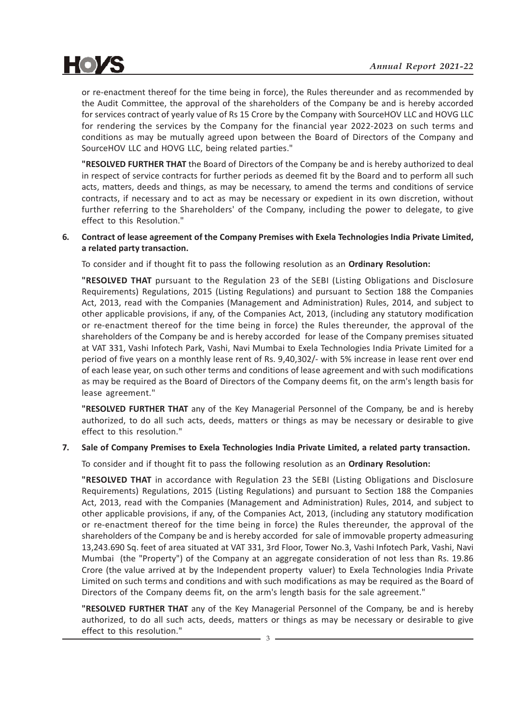or re-enactment thereof for the time being in force), the Rules thereunder and as recommended by the Audit Committee, the approval of the shareholders of the Company be and is hereby accorded for services contract of yearly value of Rs 15 Crore by the Company with SourceHOV LLC and HOVG LLC for rendering the services by the Company for the financial year 2022-2023 on such terms and conditions as may be mutually agreed upon between the Board of Directors of the Company and SourceHOV LLC and HOVG LLC, being related parties."

"RESOLVED FURTHER THAT the Board of Directors of the Company be and is hereby authorized to deal in respect of service contracts for further periods as deemed fit by the Board and to perform all such acts, matters, deeds and things, as may be necessary, to amend the terms and conditions of service contracts, if necessary and to act as may be necessary or expedient in its own discretion, without further referring to the Shareholders' of the Company, including the power to delegate, to give effect to this Resolution."

#### 6. Contract of lease agreement of the Company Premises with Exela Technologies India Private Limited, a related party transaction.

To consider and if thought fit to pass the following resolution as an Ordinary Resolution:

"RESOLVED THAT pursuant to the Regulation 23 of the SEBI (Listing Obligations and Disclosure Requirements) Regulations, 2015 (Listing Regulations) and pursuant to Section 188 the Companies Act, 2013, read with the Companies (Management and Administration) Rules, 2014, and subject to other applicable provisions, if any, of the Companies Act, 2013, (including any statutory modification or re-enactment thereof for the time being in force) the Rules thereunder, the approval of the shareholders of the Company be and is hereby accorded for lease of the Company premises situated at VAT 331, Vashi Infotech Park, Vashi, Navi Mumbai to Exela Technologies India Private Limited for a period of five years on a monthly lease rent of Rs. 9,40,302/- with 5% increase in lease rent over end of each lease year, on such other terms and conditions of lease agreement and with such modifications as may be required as the Board of Directors of the Company deems fit, on the arm's length basis for lease agreement."

"RESOLVED FURTHER THAT any of the Key Managerial Personnel of the Company, be and is hereby authorized, to do all such acts, deeds, matters or things as may be necessary or desirable to give effect to this resolution."

#### 7. Sale of Company Premises to Exela Technologies India Private Limited, a related party transaction.

To consider and if thought fit to pass the following resolution as an Ordinary Resolution:

"RESOLVED THAT in accordance with Regulation 23 the SEBI (Listing Obligations and Disclosure Requirements) Regulations, 2015 (Listing Regulations) and pursuant to Section 188 the Companies Act, 2013, read with the Companies (Management and Administration) Rules, 2014, and subject to other applicable provisions, if any, of the Companies Act, 2013, (including any statutory modification or re-enactment thereof for the time being in force) the Rules thereunder, the approval of the shareholders of the Company be and is hereby accorded for sale of immovable property admeasuring 13,243.690 Sq. feet of area situated at VAT 331, 3rd Floor, Tower No.3, Vashi Infotech Park, Vashi, Navi Mumbai (the "Property") of the Company at an aggregate consideration of not less than Rs. 19.86 Crore (the value arrived at by the Independent property valuer) to Exela Technologies India Private Limited on such terms and conditions and with such modifications as may be required as the Board of Directors of the Company deems fit, on the arm's length basis for the sale agreement."

"RESOLVED FURTHER THAT any of the Key Managerial Personnel of the Company, be and is hereby authorized, to do all such acts, deeds, matters or things as may be necessary or desirable to give effect to this resolution."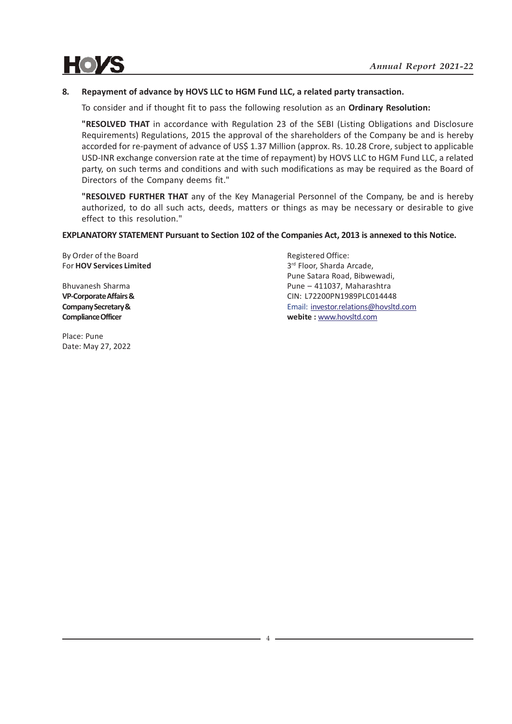#### 8. Repayment of advance by HOVS LLC to HGM Fund LLC, a related party transaction.

To consider and if thought fit to pass the following resolution as an Ordinary Resolution:

"RESOLVED THAT in accordance with Regulation 23 of the SEBI (Listing Obligations and Disclosure Requirements) Regulations, 2015 the approval of the shareholders of the Company be and is hereby accorded for re-payment of advance of US\$ 1.37 Million (approx. Rs. 10.28 Crore, subject to applicable USD-INR exchange conversion rate at the time of repayment) by HOVS LLC to HGM Fund LLC, a related party, on such terms and conditions and with such modifications as may be required as the Board of Directors of the Company deems fit."

"RESOLVED FURTHER THAT any of the Key Managerial Personnel of the Company, be and is hereby authorized, to do all such acts, deeds, matters or things as may be necessary or desirable to give effect to this resolution."

#### EXPLANATORY STATEMENT Pursuant to Section 102 of the Companies Act, 2013 is annexed to this Notice.

By Order of the Board Registered Office: For HOV Services Limited **3rd** Floor, Sharda Arcade,

Place: Pune Date: May 27, 2022

Pune Satara Road, Bibwewadi, Bhuvanesh Sharma **Pune – 411037, Maharashtra** VP-Corporate Affairs & CIN: L72200PN1989PLC014448 Company Secretary & Email: investor.relations@hovsltd.com **Compliance Officer Exercise Exercise Server and Server Server Server Webite : www.hovsltd.com**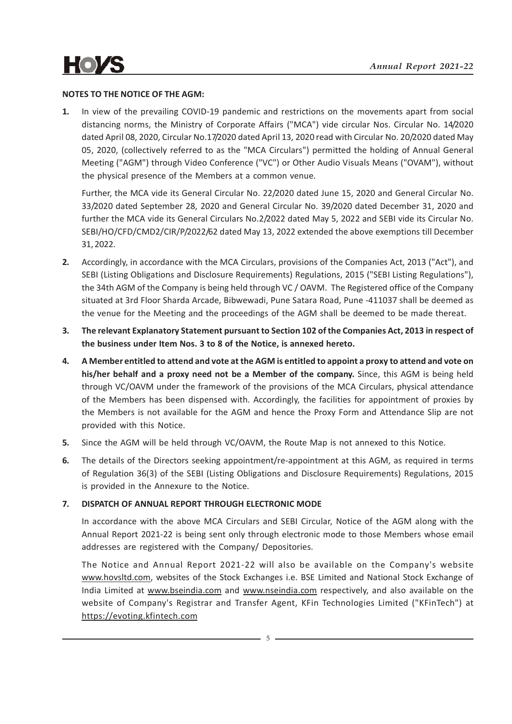## NOTES TO THE NOTICE OF THE AGM:

1. In view of the prevailing COVID-19 pandemic and restrictions on the movements apart from social distancing norms, the Ministry of Corporate Affairs ("MCA") vide circular Nos. Circular No. 14/2020 dated April 08, 2020, Circular No.17/2020 dated April 13, 2020 read with Circular No. 20/2020 dated May 05, 2020, (collectively referred to as the "MCA Circulars") permitted the holding of Annual General Meeting ("AGM") through Video Conference ("VC") or Other Audio Visuals Means ("OVAM"), without the physical presence of the Members at a common venue.

Further, the MCA vide its General Circular No. 22/2020 dated June 15, 2020 and General Circular No. 33/2020 dated September 28, 2020 and General Circular No. 39/2020 dated December 31, 2020 and further the MCA vide its General Circulars No.2/2022 dated May 5, 2022 and SEBI vide its Circular No. SEBI/HO/CFD/CMD2/CIR/P/2022/62 dated May 13, 2022 extended the above exemptions till December 31, 2022.

- 2. Accordingly, in accordance with the MCA Circulars, provisions of the Companies Act, 2013 ("Act"), and SEBI (Listing Obligations and Disclosure Requirements) Regulations, 2015 ("SEBI Listing Regulations"), the 34th AGM of the Company is being held through VC / OAVM. The Registered office of the Company situated at 3rd Floor Sharda Arcade, Bibwewadi, Pune Satara Road, Pune -411037 shall be deemed as the venue for the Meeting and the proceedings of the AGM shall be deemed to be made thereat.
- 3. The relevant Explanatory Statement pursuant to Section 102 of the Companies Act, 2013 in respect of the business under Item Nos. 3 to 8 of the Notice, is annexed hereto.
- 4. A Member entitled to attend and vote at the AGM is entitled to appoint a proxy to attend and vote on his/her behalf and a proxy need not be a Member of the company. Since, this AGM is being held through VC/OAVM under the framework of the provisions of the MCA Circulars, physical attendance of the Members has been dispensed with. Accordingly, the facilities for appointment of proxies by the Members is not available for the AGM and hence the Proxy Form and Attendance Slip are not provided with this Notice.
- 5. Since the AGM will be held through VC/OAVM, the Route Map is not annexed to this Notice.
- 6. The details of the Directors seeking appointment/re-appointment at this AGM, as required in terms of Regulation 36(3) of the SEBI (Listing Obligations and Disclosure Requirements) Regulations, 2015 is provided in the Annexure to the Notice.

# 7. DISPATCH OF ANNUAL REPORT THROUGH ELECTRONIC MODE

In accordance with the above MCA Circulars and SEBI Circular, Notice of the AGM along with the Annual Report 2021-22 is being sent only through electronic mode to those Members whose email addresses are registered with the Company/ Depositories.

The Notice and Annual Report 2021-22 will also be available on the Company's website www.hovsltd.com, websites of the Stock Exchanges i.e. BSE Limited and National Stock Exchange of India Limited at www.bseindia.com and www.nseindia.com respectively, and also available on the website of Company's Registrar and Transfer Agent, KFin Technologies Limited ("KFinTech") at https://evoting.kfintech.com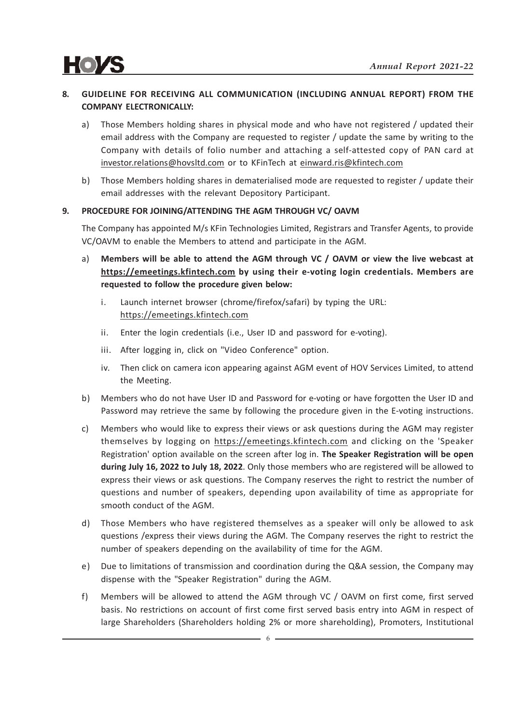

## 8. GUIDELINE FOR RECEIVING ALL COMMUNICATION (INCLUDING ANNUAL REPORT) FROM THE COMPANY ELECTRONICALLY:

- a) Those Members holding shares in physical mode and who have not registered / updated their email address with the Company are requested to register / update the same by writing to the Company with details of folio number and attaching a self-attested copy of PAN card at investor.relations@hovsltd.com or to KFinTech at einward.ris@kfintech.com
- b) Those Members holding shares in dematerialised mode are requested to register / update their email addresses with the relevant Depository Participant.

## 9. PROCEDURE FOR JOINING/ATTENDING THE AGM THROUGH VC/ OAVM

The Company has appointed M/s KFin Technologies Limited, Registrars and Transfer Agents, to provide VC/OAVM to enable the Members to attend and participate in the AGM.

- a) Members will be able to attend the AGM through VC / OAVM or view the live webcast at https://emeetings.kfintech.com by using their e-voting login credentials. Members are requested to follow the procedure given below:
	- i. Launch internet browser (chrome/firefox/safari) by typing the URL: https://emeetings.kfintech.com
	- ii. Enter the login credentials (i.e., User ID and password for e-voting).
	- iii. After logging in, click on "Video Conference" option.
	- iv. Then click on camera icon appearing against AGM event of HOV Services Limited, to attend the Meeting.
- b) Members who do not have User ID and Password for e-voting or have forgotten the User ID and Password may retrieve the same by following the procedure given in the E-voting instructions.
- c) Members who would like to express their views or ask questions during the AGM may register themselves by logging on https://emeetings.kfintech.com and clicking on the 'Speaker Registration' option available on the screen after log in. The Speaker Registration will be open during July 16, 2022 to July 18, 2022. Only those members who are registered will be allowed to express their views or ask questions. The Company reserves the right to restrict the number of questions and number of speakers, depending upon availability of time as appropriate for smooth conduct of the AGM.
- d) Those Members who have registered themselves as a speaker will only be allowed to ask questions /express their views during the AGM. The Company reserves the right to restrict the number of speakers depending on the availability of time for the AGM.
- e) Due to limitations of transmission and coordination during the Q&A session, the Company may dispense with the "Speaker Registration" during the AGM.
- f) Members will be allowed to attend the AGM through VC / OAVM on first come, first served basis. No restrictions on account of first come first served basis entry into AGM in respect of large Shareholders (Shareholders holding 2% or more shareholding), Promoters, Institutional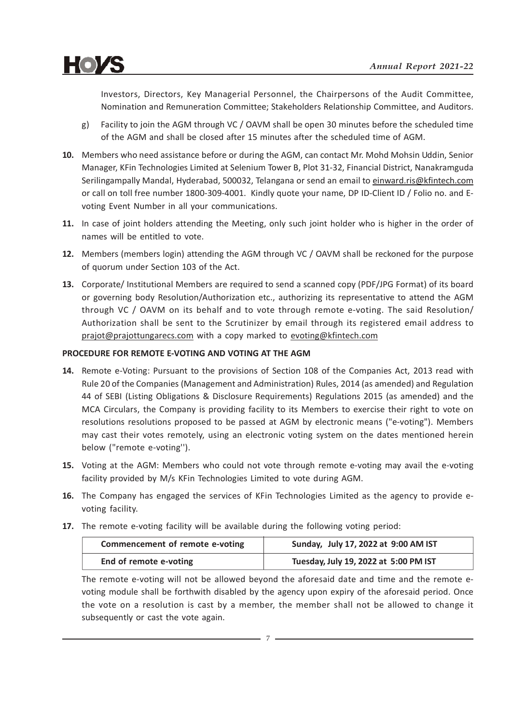

Investors, Directors, Key Managerial Personnel, the Chairpersons of the Audit Committee, Nomination and Remuneration Committee; Stakeholders Relationship Committee, and Auditors.

- g) Facility to join the AGM through VC / OAVM shall be open 30 minutes before the scheduled time of the AGM and shall be closed after 15 minutes after the scheduled time of AGM.
- 10. Members who need assistance before or during the AGM, can contact Mr. Mohd Mohsin Uddin, Senior Manager, KFin Technologies Limited at Selenium Tower B, Plot 31-32, Financial District, Nanakramguda Serilingampally Mandal, Hyderabad, 500032, Telangana or send an email to einward.ris@kfintech.com or call on toll free number 1800-309-4001. Kindly quote your name, DP ID-Client ID / Folio no. and Evoting Event Number in all your communications.
- 11. In case of joint holders attending the Meeting, only such joint holder who is higher in the order of names will be entitled to vote.
- 12. Members (members login) attending the AGM through VC / OAVM shall be reckoned for the purpose of quorum under Section 103 of the Act.
- 13. Corporate/ Institutional Members are required to send a scanned copy (PDF/JPG Format) of its board or governing body Resolution/Authorization etc., authorizing its representative to attend the AGM through VC / OAVM on its behalf and to vote through remote e-voting. The said Resolution/ Authorization shall be sent to the Scrutinizer by email through its registered email address to prajot@prajottungarecs.com with a copy marked to evoting@kfintech.com

## PROCEDURE FOR REMOTE E-VOTING AND VOTING AT THE AGM

- 14. Remote e-Voting: Pursuant to the provisions of Section 108 of the Companies Act, 2013 read with Rule 20 of the Companies (Management and Administration) Rules, 2014 (as amended) and Regulation 44 of SEBI (Listing Obligations & Disclosure Requirements) Regulations 2015 (as amended) and the MCA Circulars, the Company is providing facility to its Members to exercise their right to vote on resolutions resolutions proposed to be passed at AGM by electronic means ("e-voting"). Members may cast their votes remotely, using an electronic voting system on the dates mentioned herein below ("remote e-voting'').
- 15. Voting at the AGM: Members who could not vote through remote e-voting may avail the e-voting facility provided by M/s KFin Technologies Limited to vote during AGM.
- 16. The Company has engaged the services of KFin Technologies Limited as the agency to provide evoting facility.
- 17. The remote e-voting facility will be available during the following voting period:

| Commencement of remote e-voting | Sunday, July 17, 2022 at 9:00 AM IST  |
|---------------------------------|---------------------------------------|
| End of remote e-voting          | Tuesday, July 19, 2022 at 5:00 PM IST |

The remote e-voting will not be allowed beyond the aforesaid date and time and the remote evoting module shall be forthwith disabled by the agency upon expiry of the aforesaid period. Once the vote on a resolution is cast by a member, the member shall not be allowed to change it subsequently or cast the vote again.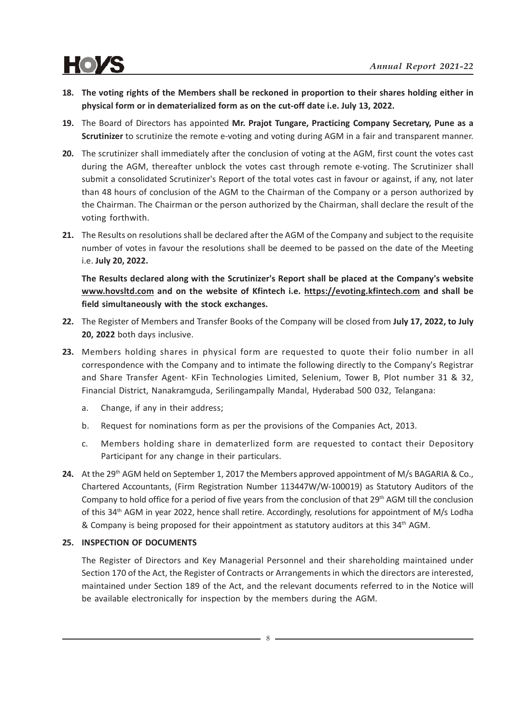- 18. The voting rights of the Members shall be reckoned in proportion to their shares holding either in physical form or in dematerialized form as on the cut-off date i.e. July 13, 2022.
- 19. The Board of Directors has appointed Mr. Prajot Tungare, Practicing Company Secretary, Pune as a Scrutinizer to scrutinize the remote e-voting and voting during AGM in a fair and transparent manner.
- 20. The scrutinizer shall immediately after the conclusion of voting at the AGM, first count the votes cast during the AGM, thereafter unblock the votes cast through remote e-voting. The Scrutinizer shall submit a consolidated Scrutinizer's Report of the total votes cast in favour or against, if any, not later than 48 hours of conclusion of the AGM to the Chairman of the Company or a person authorized by the Chairman. The Chairman or the person authorized by the Chairman, shall declare the result of the voting forthwith.
- 21. The Results on resolutions shall be declared after the AGM of the Company and subject to the requisite number of votes in favour the resolutions shall be deemed to be passed on the date of the Meeting i.e. July 20, 2022.

The Results declared along with the Scrutinizer's Report shall be placed at the Company's website www.hovsltd.com and on the website of Kfintech i.e. https://evoting.kfintech.com and shall be field simultaneously with the stock exchanges.

- 22. The Register of Members and Transfer Books of the Company will be closed from July 17, 2022, to July 20, 2022 both days inclusive.
- 23. Members holding shares in physical form are requested to quote their folio number in all correspondence with the Company and to intimate the following directly to the Company's Registrar and Share Transfer Agent- KFin Technologies Limited, Selenium, Tower B, Plot number 31 & 32, Financial District, Nanakramguda, Serilingampally Mandal, Hyderabad 500 032, Telangana:
	- a. Change, if any in their address;
	- b. Request for nominations form as per the provisions of the Companies Act, 2013.
	- c. Members holding share in dematerlized form are requested to contact their Depository Participant for any change in their particulars.
- 24. At the 29<sup>th</sup> AGM held on September 1, 2017 the Members approved appointment of M/s BAGARIA & Co., Chartered Accountants, (Firm Registration Number 113447W/W-100019) as Statutory Auditors of the Company to hold office for a period of five years from the conclusion of that 29<sup>th</sup> AGM till the conclusion of this 34<sup>th</sup> AGM in year 2022, hence shall retire. Accordingly, resolutions for appointment of M/s Lodha & Company is being proposed for their appointment as statutory auditors at this 34th AGM.

# 25. INSPECTION OF DOCUMENTS

The Register of Directors and Key Managerial Personnel and their shareholding maintained under Section 170 of the Act, the Register of Contracts or Arrangements in which the directors are interested, maintained under Section 189 of the Act, and the relevant documents referred to in the Notice will be available electronically for inspection by the members during the AGM.

8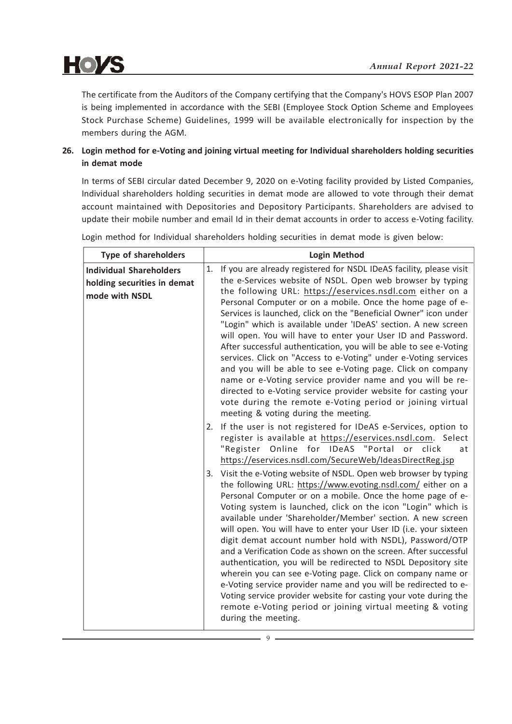The certificate from the Auditors of the Company certifying that the Company's HOVS ESOP Plan 2007 is being implemented in accordance with the SEBI (Employee Stock Option Scheme and Employees Stock Purchase Scheme) Guidelines, 1999 will be available electronically for inspection by the members during the AGM.

# 26. Login method for e-Voting and joining virtual meeting for Individual shareholders holding securities in demat mode

In terms of SEBI circular dated December 9, 2020 on e-Voting facility provided by Listed Companies, Individual shareholders holding securities in demat mode are allowed to vote through their demat account maintained with Depositories and Depository Participants. Shareholders are advised to update their mobile number and email Id in their demat accounts in order to access e-Voting facility.

| <b>Type of shareholders</b>                                                     | <b>Login Method</b>                                                                                                                                                                                                                                                                                                                                                                                                                                                                                                                                                                                                                                                                                                                                                                                                                                                                                                  |
|---------------------------------------------------------------------------------|----------------------------------------------------------------------------------------------------------------------------------------------------------------------------------------------------------------------------------------------------------------------------------------------------------------------------------------------------------------------------------------------------------------------------------------------------------------------------------------------------------------------------------------------------------------------------------------------------------------------------------------------------------------------------------------------------------------------------------------------------------------------------------------------------------------------------------------------------------------------------------------------------------------------|
| <b>Individual Shareholders</b><br>holding securities in demat<br>mode with NSDL | If you are already registered for NSDL IDeAS facility, please visit<br>1.<br>the e-Services website of NSDL. Open web browser by typing<br>the following URL: https://eservices.nsdl.com either on a<br>Personal Computer or on a mobile. Once the home page of e-<br>Services is launched, click on the "Beneficial Owner" icon under<br>"Login" which is available under 'IDeAS' section. A new screen<br>will open. You will have to enter your User ID and Password.<br>After successful authentication, you will be able to see e-Voting<br>services. Click on "Access to e-Voting" under e-Voting services<br>and you will be able to see e-Voting page. Click on company<br>name or e-Voting service provider name and you will be re-<br>directed to e-Voting service provider website for casting your<br>vote during the remote e-Voting period or joining virtual<br>meeting & voting during the meeting. |
|                                                                                 | If the user is not registered for IDeAS e-Services, option to<br>2.<br>register is available at https://eservices.nsdl.com. Select<br>"Register Online for IDeAS "Portal or click<br>at<br>https://eservices.nsdl.com/SecureWeb/IdeasDirectReg.jsp                                                                                                                                                                                                                                                                                                                                                                                                                                                                                                                                                                                                                                                                   |
|                                                                                 | Visit the e-Voting website of NSDL. Open web browser by typing<br>3.<br>the following URL: https://www.evoting.nsdl.com/ either on a<br>Personal Computer or on a mobile. Once the home page of e-<br>Voting system is launched, click on the icon "Login" which is<br>available under 'Shareholder/Member' section. A new screen<br>will open. You will have to enter your User ID (i.e. your sixteen<br>digit demat account number hold with NSDL), Password/OTP<br>and a Verification Code as shown on the screen. After successful<br>authentication, you will be redirected to NSDL Depository site<br>wherein you can see e-Voting page. Click on company name or<br>e-Voting service provider name and you will be redirected to e-<br>Voting service provider website for casting your vote during the<br>remote e-Voting period or joining virtual meeting & voting<br>during the meeting.                  |

Login method for Individual shareholders holding securities in demat mode is given below: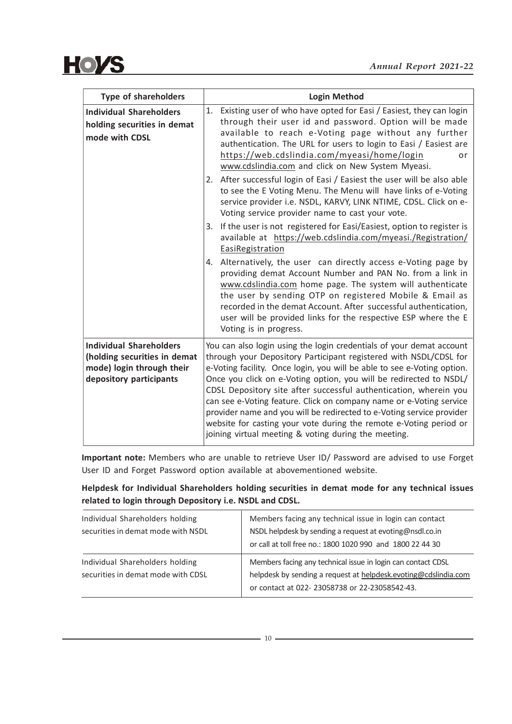| <b>Type of shareholders</b>                                                                                            | <b>Login Method</b>                                                                                                                                                                                                                                                                                                                                                                                                                                                                                                                                                                                                                           |  |
|------------------------------------------------------------------------------------------------------------------------|-----------------------------------------------------------------------------------------------------------------------------------------------------------------------------------------------------------------------------------------------------------------------------------------------------------------------------------------------------------------------------------------------------------------------------------------------------------------------------------------------------------------------------------------------------------------------------------------------------------------------------------------------|--|
| <b>Individual Shareholders</b><br>holding securities in demat<br>mode with CDSL                                        | Existing user of who have opted for Easi / Easiest, they can login<br>1.<br>through their user id and password. Option will be made<br>available to reach e-Voting page without any further<br>authentication. The URL for users to login to Easi / Easiest are<br>https://web.cdslindia.com/myeasi/home/login<br>0r<br>www.cdslindia.com and click on New System Myeasi.                                                                                                                                                                                                                                                                     |  |
|                                                                                                                        | After successful login of Easi / Easiest the user will be also able<br>2.<br>to see the E Voting Menu. The Menu will have links of e-Voting<br>service provider i.e. NSDL, KARVY, LINK NTIME, CDSL. Click on e-<br>Voting service provider name to cast your vote.                                                                                                                                                                                                                                                                                                                                                                            |  |
|                                                                                                                        | If the user is not registered for Easi/Easiest, option to register is<br>3.<br>available at https://web.cdslindia.com/myeasi./Registration/<br>EasiRegistration                                                                                                                                                                                                                                                                                                                                                                                                                                                                               |  |
|                                                                                                                        | 4. Alternatively, the user can directly access e-Voting page by<br>providing demat Account Number and PAN No. from a link in<br>www.cdslindia.com home page. The system will authenticate<br>the user by sending OTP on registered Mobile & Email as<br>recorded in the demat Account. After successful authentication,<br>user will be provided links for the respective ESP where the E<br>Voting is in progress.                                                                                                                                                                                                                           |  |
| <b>Individual Shareholders</b><br>(holding securities in demat<br>mode) login through their<br>depository participants | You can also login using the login credentials of your demat account<br>through your Depository Participant registered with NSDL/CDSL for<br>e-Voting facility. Once login, you will be able to see e-Voting option.<br>Once you click on e-Voting option, you will be redirected to NSDL/<br>CDSL Depository site after successful authentication, wherein you<br>can see e-Voting feature. Click on company name or e-Voting service<br>provider name and you will be redirected to e-Voting service provider<br>website for casting your vote during the remote e-Voting period or<br>joining virtual meeting & voting during the meeting. |  |

Important note: Members who are unable to retrieve User ID/ Password are advised to use Forget User ID and Forget Password option available at abovementioned website.

|  | Helpdesk for Individual Shareholders holding securities in demat mode for any technical issues |  |  |  |  |  |
|--|------------------------------------------------------------------------------------------------|--|--|--|--|--|
|  | related to login through Depository i.e. NSDL and CDSL.                                        |  |  |  |  |  |

| Individual Shareholders holding<br>securities in demat mode with NSDL | Members facing any technical issue in login can contact<br>NSDL helpdesk by sending a request at evoting@nsdl.co.in<br>or call at toll free no.: 1800 1020 990 and 1800 22 44 30 |
|-----------------------------------------------------------------------|----------------------------------------------------------------------------------------------------------------------------------------------------------------------------------|
| Individual Shareholders holding<br>securities in demat mode with CDSL | Members facing any technical issue in login can contact CDSL<br>helpdesk by sending a request at helpdesk.evoting@cdslindia.com<br>or contact at 022-23058738 or 22-23058542-43. |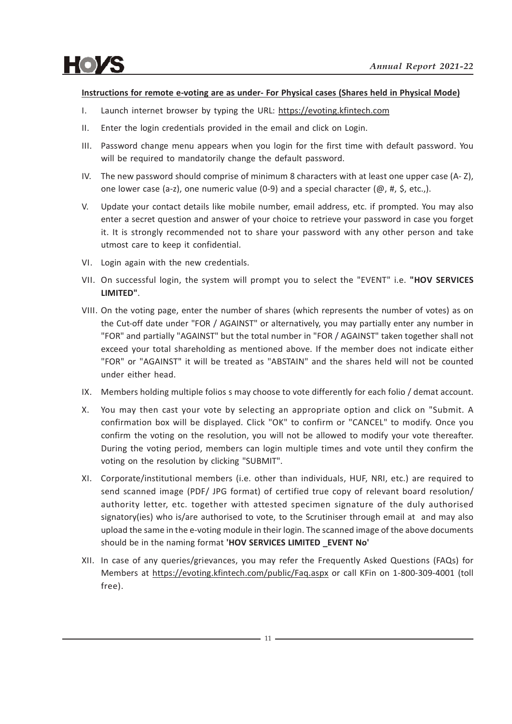#### Instructions for remote e-voting are as under- For Physical cases (Shares held in Physical Mode)

- I. Launch internet browser by typing the URL: https://evoting.kfintech.com
- II. Enter the login credentials provided in the email and click on Login.
- III. Password change menu appears when you login for the first time with default password. You will be required to mandatorily change the default password.
- IV. The new password should comprise of minimum 8 characters with at least one upper case (A- Z), one lower case (a-z), one numeric value (0-9) and a special character ( $\omega$ , #, \$, etc.,).
- V. Update your contact details like mobile number, email address, etc. if prompted. You may also enter a secret question and answer of your choice to retrieve your password in case you forget it. It is strongly recommended not to share your password with any other person and take utmost care to keep it confidential.
- VI. Login again with the new credentials.
- VII. On successful login, the system will prompt you to select the "EVENT" i.e. "HOV SERVICES LIMITED".
- VIII. On the voting page, enter the number of shares (which represents the number of votes) as on the Cut-off date under "FOR / AGAINST" or alternatively, you may partially enter any number in "FOR" and partially "AGAINST" but the total number in "FOR / AGAINST" taken together shall not exceed your total shareholding as mentioned above. If the member does not indicate either "FOR" or "AGAINST" it will be treated as "ABSTAIN" and the shares held will not be counted under either head.
- IX. Members holding multiple folios s may choose to vote differently for each folio / demat account.
- X. You may then cast your vote by selecting an appropriate option and click on "Submit. A confirmation box will be displayed. Click "OK" to confirm or "CANCEL" to modify. Once you confirm the voting on the resolution, you will not be allowed to modify your vote thereafter. During the voting period, members can login multiple times and vote until they confirm the voting on the resolution by clicking "SUBMIT".
- XI. Corporate/institutional members (i.e. other than individuals, HUF, NRI, etc.) are required to send scanned image (PDF/ JPG format) of certified true copy of relevant board resolution/ authority letter, etc. together with attested specimen signature of the duly authorised signatory(ies) who is/are authorised to vote, to the Scrutiniser through email at and may also upload the same in the e-voting module in their login. The scanned image of the above documents should be in the naming format 'HOV SERVICES LIMITED EVENT No'
- XII. In case of any queries/grievances, you may refer the Frequently Asked Questions (FAQs) for Members at https://evoting.kfintech.com/public/Faq.aspx or call KFin on 1-800-309-4001 (toll free).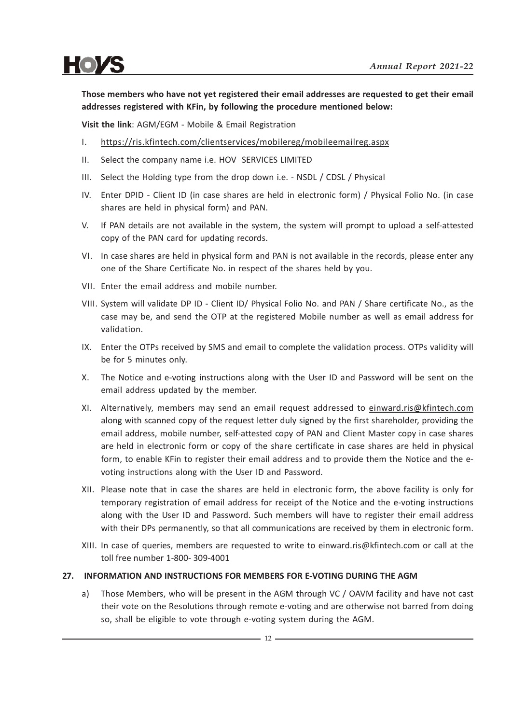Those members who have not yet registered their email addresses are requested to get their email addresses registered with KFin, by following the procedure mentioned below:

Visit the link: AGM/EGM - Mobile & Email Registration

- I. https://ris.kfintech.com/clientservices/mobilereg/mobileemailreg.aspx
- II. Select the company name i.e. HOV SERVICES LIMITED
- III. Select the Holding type from the drop down i.e. NSDL / CDSL / Physical
- IV. Enter DPID Client ID (in case shares are held in electronic form) / Physical Folio No. (in case shares are held in physical form) and PAN.
- V. If PAN details are not available in the system, the system will prompt to upload a self-attested copy of the PAN card for updating records.
- VI. In case shares are held in physical form and PAN is not available in the records, please enter any one of the Share Certificate No. in respect of the shares held by you.
- VII. Enter the email address and mobile number.
- VIII. System will validate DP ID Client ID/ Physical Folio No. and PAN / Share certificate No., as the case may be, and send the OTP at the registered Mobile number as well as email address for validation.
- IX. Enter the OTPs received by SMS and email to complete the validation process. OTPs validity will be for 5 minutes only.
- X. The Notice and e-voting instructions along with the User ID and Password will be sent on the email address updated by the member.
- XI. Alternatively, members may send an email request addressed to einward.ris@kfintech.com along with scanned copy of the request letter duly signed by the first shareholder, providing the email address, mobile number, self-attested copy of PAN and Client Master copy in case shares are held in electronic form or copy of the share certificate in case shares are held in physical form, to enable KFin to register their email address and to provide them the Notice and the evoting instructions along with the User ID and Password.
- XII. Please note that in case the shares are held in electronic form, the above facility is only for temporary registration of email address for receipt of the Notice and the e-voting instructions along with the User ID and Password. Such members will have to register their email address with their DPs permanently, so that all communications are received by them in electronic form.
- XIII. In case of queries, members are requested to write to einward.ris@kfintech.com or call at the toll free number 1-800- 309-4001

#### 27. INFORMATION AND INSTRUCTIONS FOR MEMBERS FOR E-VOTING DURING THE AGM

a) Those Members, who will be present in the AGM through VC / OAVM facility and have not cast their vote on the Resolutions through remote e-voting and are otherwise not barred from doing so, shall be eligible to vote through e-voting system during the AGM.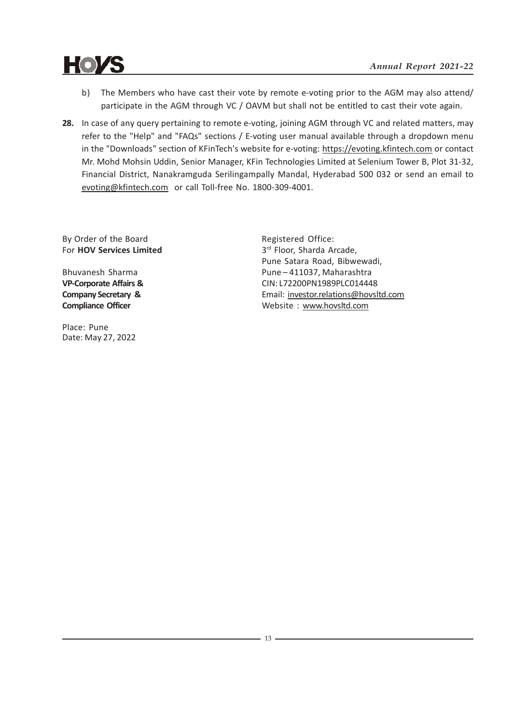

- b) The Members who have cast their vote by remote e-voting prior to the AGM may also attend/ participate in the AGM through VC / OAVM but shall not be entitled to cast their vote again.
- 28. In case of any query pertaining to remote e-voting, joining AGM through VC and related matters, may refer to the "Help" and "FAQs" sections / E-voting user manual available through a dropdown menu in the "Downloads" section of KFinTech's website for e-voting: https://evoting.kfintech.com or contact Mr. Mohd Mohsin Uddin, Senior Manager, KFin Technologies Limited at Selenium Tower B, Plot 31-32, Financial District, Nanakramguda Serilingampally Mandal, Hyderabad 500 032 or send an email to evoting@kfintech.com or call Toll-free No. 1800-309-4001.

By Order of the Board Registered Office: For HOV Services Limited 3rd Floor, Sharda Arcade,

Place: Pune Date: May 27, 2022

Pune Satara Road, Bibwewadi, Bhuvanesh Sharma Pune – 411037, Maharashtra VP-Corporate Affairs & CIN: L72200PN1989PLC014448 Company Secretary & Email: investor.relations@hovsltd.com Compliance Officer **Compliance Officer Website** : www.hovsltd.com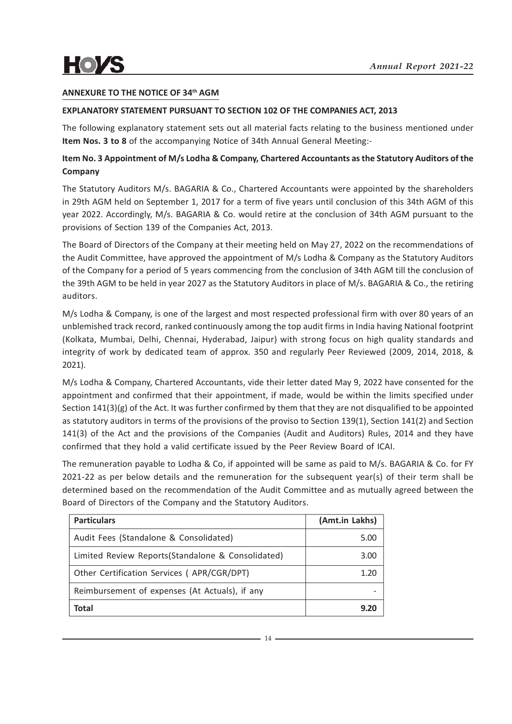## ANNEXURE TO THE NOTICE OF 34th AGM

#### EXPLANATORY STATEMENT PURSUANT TO SECTION 102 OF THE COMPANIES ACT, 2013

The following explanatory statement sets out all material facts relating to the business mentioned under Item Nos. 3 to 8 of the accompanying Notice of 34th Annual General Meeting:-

## Item No. 3 Appointment of M/s Lodha & Company, Chartered Accountants as the Statutory Auditors of the Company

The Statutory Auditors M/s. BAGARIA & Co., Chartered Accountants were appointed by the shareholders in 29th AGM held on September 1, 2017 for a term of five years until conclusion of this 34th AGM of this year 2022. Accordingly, M/s. BAGARIA & Co. would retire at the conclusion of 34th AGM pursuant to the provisions of Section 139 of the Companies Act, 2013.

The Board of Directors of the Company at their meeting held on May 27, 2022 on the recommendations of the Audit Committee, have approved the appointment of M/s Lodha & Company as the Statutory Auditors of the Company for a period of 5 years commencing from the conclusion of 34th AGM till the conclusion of the 39th AGM to be held in year 2027 as the Statutory Auditors in place of M/s. BAGARIA & Co., the retiring auditors.

M/s Lodha & Company, is one of the largest and most respected professional firm with over 80 years of an unblemished track record, ranked continuously among the top audit firms in India having National footprint (Kolkata, Mumbai, Delhi, Chennai, Hyderabad, Jaipur) with strong focus on high quality standards and integrity of work by dedicated team of approx. 350 and regularly Peer Reviewed (2009, 2014, 2018, & 2021).

M/s Lodha & Company, Chartered Accountants, vide their letter dated May 9, 2022 have consented for the appointment and confirmed that their appointment, if made, would be within the limits specified under Section 141(3)(g) of the Act. It was further confirmed by them that they are not disqualified to be appointed as statutory auditors in terms of the provisions of the proviso to Section 139(1), Section 141(2) and Section 141(3) of the Act and the provisions of the Companies (Audit and Auditors) Rules, 2014 and they have confirmed that they hold a valid certificate issued by the Peer Review Board of ICAI.

The remuneration payable to Lodha & Co, if appointed will be same as paid to M/s. BAGARIA & Co. for FY 2021-22 as per below details and the remuneration for the subsequent year(s) of their term shall be determined based on the recommendation of the Audit Committee and as mutually agreed between the Board of Directors of the Company and the Statutory Auditors.

| <b>Particulars</b>                                | (Amt.in Lakhs) |
|---------------------------------------------------|----------------|
| Audit Fees (Standalone & Consolidated)            | 5.00           |
| Limited Review Reports(Standalone & Consolidated) | 3.00           |
| Other Certification Services ( APR/CGR/DPT)       | 1.20           |
| Reimbursement of expenses (At Actuals), if any    |                |
| Total                                             | 9.20           |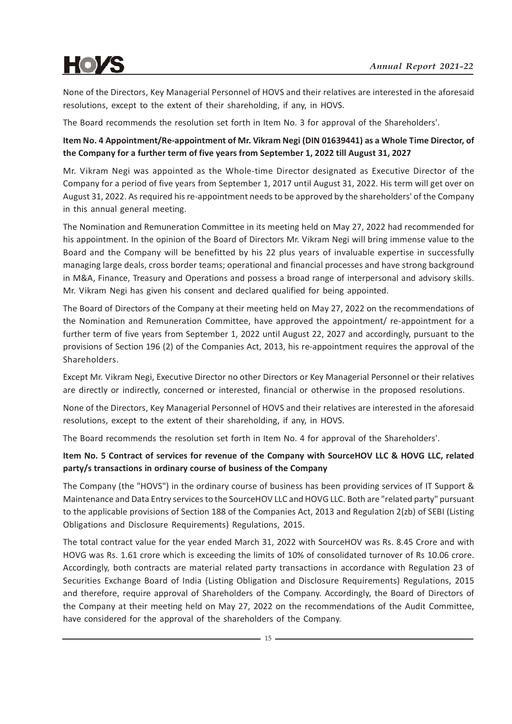None of the Directors, Key Managerial Personnel of HOVS and their relatives are interested in the aforesaid resolutions, except to the extent of their shareholding, if any, in HOVS.

The Board recommends the resolution set forth in Item No. 3 for approval of the Shareholders'.

# Item No. 4 Appointment/Re-appointment of Mr. Vikram Negi (DIN 01639441) as a Whole Time Director, of the Company for a further term of five years from September 1, 2022 till August 31, 2027

Mr. Vikram Negi was appointed as the Whole-time Director designated as Executive Director of the Company for a period of five years from September 1, 2017 until August 31, 2022. His term will get over on August 31, 2022. As required his re-appointment needs to be approved by the shareholders' of the Company in this annual general meeting.

The Nomination and Remuneration Committee in its meeting held on May 27, 2022 had recommended for his appointment. In the opinion of the Board of Directors Mr. Vikram Negi will bring immense value to the Board and the Company will be benefitted by his 22 plus years of invaluable expertise in successfully managing large deals, cross border teams; operational and financial processes and have strong background in M&A, Finance, Treasury and Operations and possess a broad range of interpersonal and advisory skills. Mr. Vikram Negi has given his consent and declared qualified for being appointed.

The Board of Directors of the Company at their meeting held on May 27, 2022 on the recommendations of the Nomination and Remuneration Committee, have approved the appointment/ re-appointment for a further term of five years from September 1, 2022 until August 22, 2027 and accordingly, pursuant to the provisions of Section 196 (2) of the Companies Act, 2013, his re-appointment requires the approval of the Shareholders.

Except Mr. Vikram Negi, Executive Director no other Directors or Key Managerial Personnel or their relatives are directly or indirectly, concerned or interested, financial or otherwise in the proposed resolutions.

None of the Directors, Key Managerial Personnel of HOVS and their relatives are interested in the aforesaid resolutions, except to the extent of their shareholding, if any, in HOVS.

The Board recommends the resolution set forth in Item No. 4 for approval of the Shareholders'.

# Item No. 5 Contract of services for revenue of the Company with SourceHOV LLC & HOVG LLC, related party/s transactions in ordinary course of business of the Company

The Company (the "HOVS") in the ordinary course of business has been providing services of IT Support & Maintenance and Data Entry services to the SourceHOV LLC and HOVG LLC. Both are "related party" pursuant to the applicable provisions of Section 188 of the Companies Act, 2013 and Regulation 2(zb) of SEBI (Listing Obligations and Disclosure Requirements) Regulations, 2015.

The total contract value for the year ended March 31, 2022 with SourceHOV was Rs. 8.45 Crore and with HOVG was Rs. 1.61 crore which is exceeding the limits of 10% of consolidated turnover of Rs 10.06 crore. Accordingly, both contracts are material related party transactions in accordance with Regulation 23 of Securities Exchange Board of India (Listing Obligation and Disclosure Requirements) Regulations, 2015 and therefore, require approval of Shareholders of the Company. Accordingly, the Board of Directors of the Company at their meeting held on May 27, 2022 on the recommendations of the Audit Committee, have considered for the approval of the shareholders of the Company.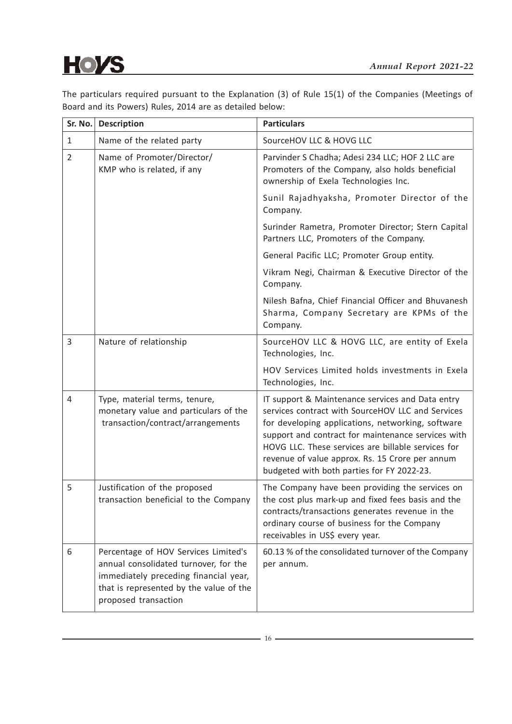The particulars required pursuant to the Explanation (3) of Rule 15(1) of the Companies (Meetings of Board and its Powers) Rules, 2014 are as detailed below:

| Sr. No.        | <b>Description</b>                                                                                                                                                                        | <b>Particulars</b>                                                                                                                                                                                                                                                                                                                                                      |
|----------------|-------------------------------------------------------------------------------------------------------------------------------------------------------------------------------------------|-------------------------------------------------------------------------------------------------------------------------------------------------------------------------------------------------------------------------------------------------------------------------------------------------------------------------------------------------------------------------|
| $\mathbf{1}$   | Name of the related party                                                                                                                                                                 | SourceHOV LLC & HOVG LLC                                                                                                                                                                                                                                                                                                                                                |
| $\overline{2}$ | Name of Promoter/Director/<br>KMP who is related, if any                                                                                                                                  | Parvinder S Chadha; Adesi 234 LLC; HOF 2 LLC are<br>Promoters of the Company, also holds beneficial<br>ownership of Exela Technologies Inc.                                                                                                                                                                                                                             |
|                |                                                                                                                                                                                           | Sunil Rajadhyaksha, Promoter Director of the<br>Company.                                                                                                                                                                                                                                                                                                                |
|                |                                                                                                                                                                                           | Surinder Rametra, Promoter Director; Stern Capital<br>Partners LLC, Promoters of the Company.                                                                                                                                                                                                                                                                           |
|                |                                                                                                                                                                                           | General Pacific LLC; Promoter Group entity.                                                                                                                                                                                                                                                                                                                             |
|                |                                                                                                                                                                                           | Vikram Negi, Chairman & Executive Director of the<br>Company.                                                                                                                                                                                                                                                                                                           |
|                |                                                                                                                                                                                           | Nilesh Bafna, Chief Financial Officer and Bhuvanesh<br>Sharma, Company Secretary are KPMs of the<br>Company.                                                                                                                                                                                                                                                            |
| 3              | Nature of relationship                                                                                                                                                                    | SourceHOV LLC & HOVG LLC, are entity of Exela<br>Technologies, Inc.                                                                                                                                                                                                                                                                                                     |
|                |                                                                                                                                                                                           | HOV Services Limited holds investments in Exela<br>Technologies, Inc.                                                                                                                                                                                                                                                                                                   |
| 4              | Type, material terms, tenure,<br>monetary value and particulars of the<br>transaction/contract/arrangements                                                                               | IT support & Maintenance services and Data entry<br>services contract with SourceHOV LLC and Services<br>for developing applications, networking, software<br>support and contract for maintenance services with<br>HOVG LLC. These services are billable services for<br>revenue of value approx. Rs. 15 Crore per annum<br>budgeted with both parties for FY 2022-23. |
| 5              | Justification of the proposed<br>transaction beneficial to the Company                                                                                                                    | The Company have been providing the services on<br>the cost plus mark-up and fixed fees basis and the<br>contracts/transactions generates revenue in the<br>ordinary course of business for the Company<br>receivables in US\$ every year.                                                                                                                              |
| 6              | Percentage of HOV Services Limited's<br>annual consolidated turnover, for the<br>immediately preceding financial year,<br>that is represented by the value of the<br>proposed transaction | 60.13 % of the consolidated turnover of the Company<br>per annum.                                                                                                                                                                                                                                                                                                       |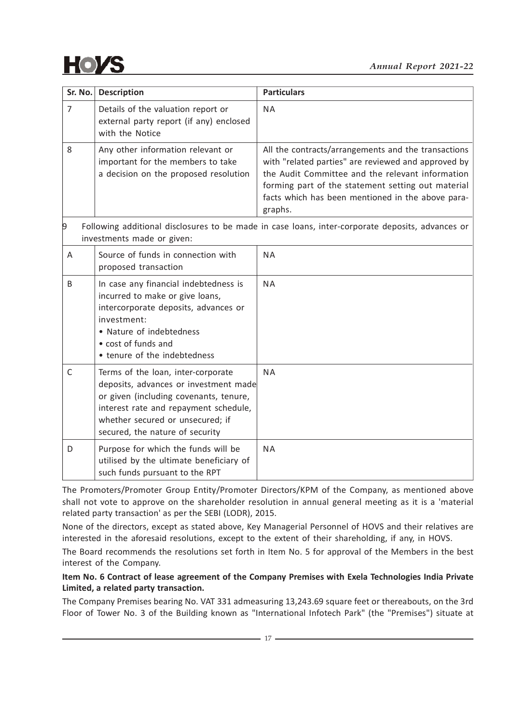| Sr. No.        | <b>Description</b>                                                                                                                                                                                                                    | <b>Particulars</b>                                                                                                                                                                                                                                                                   |
|----------------|---------------------------------------------------------------------------------------------------------------------------------------------------------------------------------------------------------------------------------------|--------------------------------------------------------------------------------------------------------------------------------------------------------------------------------------------------------------------------------------------------------------------------------------|
| $\overline{7}$ | Details of the valuation report or<br>external party report (if any) enclosed<br>with the Notice                                                                                                                                      | <b>NA</b>                                                                                                                                                                                                                                                                            |
| 8              | Any other information relevant or<br>important for the members to take<br>a decision on the proposed resolution                                                                                                                       | All the contracts/arrangements and the transactions<br>with "related parties" are reviewed and approved by<br>the Audit Committee and the relevant information<br>forming part of the statement setting out material<br>facts which has been mentioned in the above para-<br>graphs. |
| þ              | investments made or given:                                                                                                                                                                                                            | Following additional disclosures to be made in case loans, inter-corporate deposits, advances or                                                                                                                                                                                     |
| A              | Source of funds in connection with<br>proposed transaction                                                                                                                                                                            | <b>NA</b>                                                                                                                                                                                                                                                                            |
| B              | In case any financial indebtedness is<br>incurred to make or give loans,<br>intercorporate deposits, advances or<br>investment:<br>• Nature of indebtedness<br>• cost of funds and<br>• tenure of the indebtedness                    | <b>NA</b>                                                                                                                                                                                                                                                                            |
| $\mathsf{C}$   | Terms of the loan, inter-corporate<br>deposits, advances or investment made<br>or given (including covenants, tenure,<br>interest rate and repayment schedule,<br>whether secured or unsecured; if<br>secured, the nature of security | <b>NA</b>                                                                                                                                                                                                                                                                            |
| D              | Purpose for which the funds will be<br>utilised by the ultimate beneficiary of<br>such funds pursuant to the RPT                                                                                                                      | <b>NA</b>                                                                                                                                                                                                                                                                            |

The Promoters/Promoter Group Entity/Promoter Directors/KPM of the Company, as mentioned above shall not vote to approve on the shareholder resolution in annual general meeting as it is a 'material related party transaction' as per the SEBI (LODR), 2015.

None of the directors, except as stated above, Key Managerial Personnel of HOVS and their relatives are interested in the aforesaid resolutions, except to the extent of their shareholding, if any, in HOVS.

The Board recommends the resolutions set forth in Item No. 5 for approval of the Members in the best interest of the Company.

## Item No. 6 Contract of lease agreement of the Company Premises with Exela Technologies India Private Limited, a related party transaction.

The Company Premises bearing No. VAT 331 admeasuring 13,243.69 square feet or thereabouts, on the 3rd Floor of Tower No. 3 of the Building known as "International Infotech Park" (the "Premises") situate at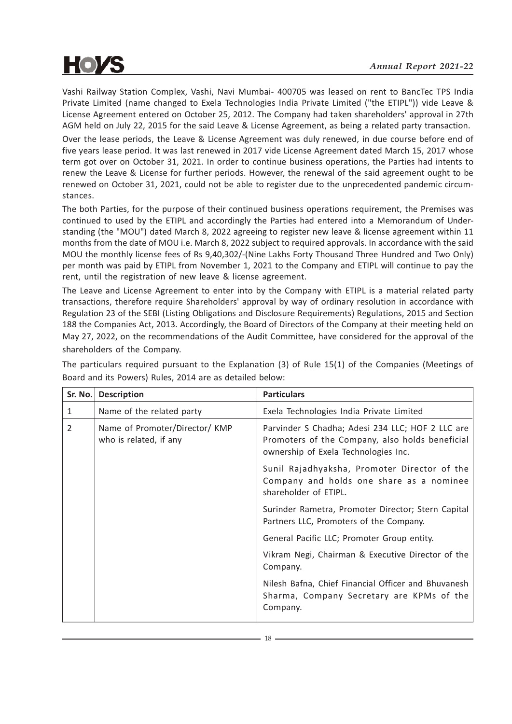Vashi Railway Station Complex, Vashi, Navi Mumbai- 400705 was leased on rent to BancTec TPS India Private Limited (name changed to Exela Technologies India Private Limited ("the ETIPL")) vide Leave & License Agreement entered on October 25, 2012. The Company had taken shareholders' approval in 27th AGM held on July 22, 2015 for the said Leave & License Agreement, as being a related party transaction.

Over the lease periods, the Leave & License Agreement was duly renewed, in due course before end of five years lease period. It was last renewed in 2017 vide License Agreement dated March 15, 2017 whose term got over on October 31, 2021. In order to continue business operations, the Parties had intents to renew the Leave & License for further periods. However, the renewal of the said agreement ought to be renewed on October 31, 2021, could not be able to register due to the unprecedented pandemic circumstances.

The both Parties, for the purpose of their continued business operations requirement, the Premises was continued to used by the ETIPL and accordingly the Parties had entered into a Memorandum of Understanding (the "MOU") dated March 8, 2022 agreeing to register new leave & license agreement within 11 months from the date of MOU i.e. March 8, 2022 subject to required approvals. In accordance with the said MOU the monthly license fees of Rs 9,40,302/-(Nine Lakhs Forty Thousand Three Hundred and Two Only) per month was paid by ETIPL from November 1, 2021 to the Company and ETIPL will continue to pay the rent, until the registration of new leave & license agreement.

The Leave and License Agreement to enter into by the Company with ETIPL is a material related party transactions, therefore require Shareholders' approval by way of ordinary resolution in accordance with Regulation 23 of the SEBI (Listing Obligations and Disclosure Requirements) Regulations, 2015 and Section 188 the Companies Act, 2013. Accordingly, the Board of Directors of the Company at their meeting held on May 27, 2022, on the recommendations of the Audit Committee, have considered for the approval of the shareholders of the Company.

| Sr. No.        | <b>Description</b>                                       | <b>Particulars</b>                                                                                                                          |
|----------------|----------------------------------------------------------|---------------------------------------------------------------------------------------------------------------------------------------------|
| 1              | Name of the related party                                | Exela Technologies India Private Limited                                                                                                    |
| $\overline{2}$ | Name of Promoter/Director/ KMP<br>who is related, if any | Parvinder S Chadha; Adesi 234 LLC; HOF 2 LLC are<br>Promoters of the Company, also holds beneficial<br>ownership of Exela Technologies Inc. |
|                |                                                          | Sunil Rajadhyaksha, Promoter Director of the<br>Company and holds one share as a nominee<br>shareholder of ETIPL.                           |
|                |                                                          | Surinder Rametra, Promoter Director; Stern Capital<br>Partners LLC, Promoters of the Company.                                               |
|                |                                                          | General Pacific LLC; Promoter Group entity.                                                                                                 |
|                |                                                          | Vikram Negi, Chairman & Executive Director of the<br>Company.                                                                               |
|                |                                                          | Nilesh Bafna, Chief Financial Officer and Bhuvanesh<br>Sharma, Company Secretary are KPMs of the<br>Company.                                |

The particulars required pursuant to the Explanation (3) of Rule 15(1) of the Companies (Meetings of Board and its Powers) Rules, 2014 are as detailed below: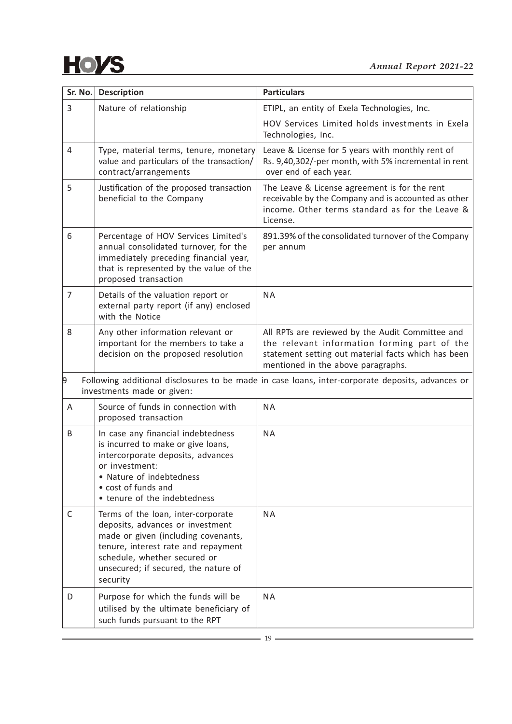| Sr. No. | <b>Description</b>                                                                                                                                                                                                                       | <b>Particulars</b>                                                                                                                                                                            |
|---------|------------------------------------------------------------------------------------------------------------------------------------------------------------------------------------------------------------------------------------------|-----------------------------------------------------------------------------------------------------------------------------------------------------------------------------------------------|
| 3       | Nature of relationship                                                                                                                                                                                                                   | ETIPL, an entity of Exela Technologies, Inc.                                                                                                                                                  |
|         |                                                                                                                                                                                                                                          | HOV Services Limited holds investments in Exela<br>Technologies, Inc.                                                                                                                         |
| 4       | Type, material terms, tenure, monetary<br>value and particulars of the transaction/<br>contract/arrangements                                                                                                                             | Leave & License for 5 years with monthly rent of<br>Rs. 9,40,302/-per month, with 5% incremental in rent<br>over end of each year.                                                            |
| 5       | Justification of the proposed transaction<br>beneficial to the Company                                                                                                                                                                   | The Leave & License agreement is for the rent<br>receivable by the Company and is accounted as other<br>income. Other terms standard as for the Leave &<br>License.                           |
| 6       | Percentage of HOV Services Limited's<br>annual consolidated turnover, for the<br>immediately preceding financial year,<br>that is represented by the value of the<br>proposed transaction                                                | 891.39% of the consolidated turnover of the Company<br>per annum                                                                                                                              |
| 7       | Details of the valuation report or<br>external party report (if any) enclosed<br>with the Notice                                                                                                                                         | <b>NA</b>                                                                                                                                                                                     |
| 8       | Any other information relevant or<br>important for the members to take a<br>decision on the proposed resolution                                                                                                                          | All RPTs are reviewed by the Audit Committee and<br>the relevant information forming part of the<br>statement setting out material facts which has been<br>mentioned in the above paragraphs. |
| þ       | investments made or given:                                                                                                                                                                                                               | Following additional disclosures to be made in case loans, inter-corporate deposits, advances or                                                                                              |
| A       | Source of funds in connection with<br>proposed transaction                                                                                                                                                                               | <b>NA</b>                                                                                                                                                                                     |
| B       | In case any financial indebtedness<br>is incurred to make or give loans,<br>intercorporate deposits, advances<br>or investment:<br>• Nature of indebtedness<br>• cost of funds and<br>• tenure of the indebtedness                       | <b>NA</b>                                                                                                                                                                                     |
| C       | Terms of the loan, inter-corporate<br>deposits, advances or investment<br>made or given (including covenants,<br>tenure, interest rate and repayment<br>schedule, whether secured or<br>unsecured; if secured, the nature of<br>security | <b>NA</b>                                                                                                                                                                                     |
| D       | Purpose for which the funds will be<br>utilised by the ultimate beneficiary of<br>such funds pursuant to the RPT                                                                                                                         | <b>NA</b>                                                                                                                                                                                     |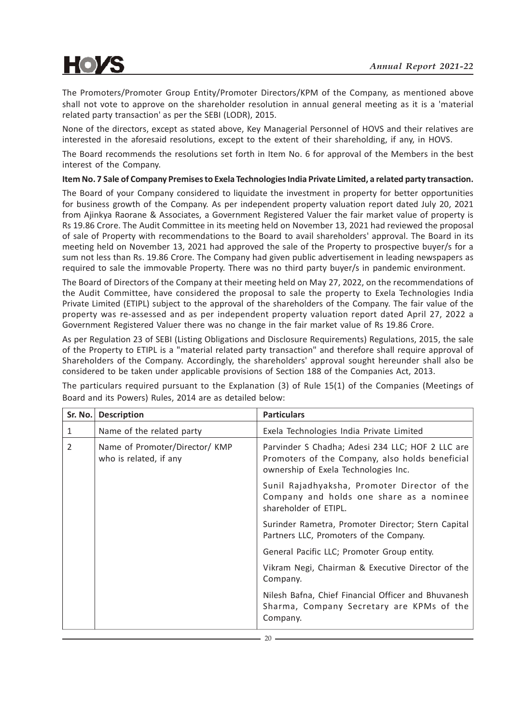The Promoters/Promoter Group Entity/Promoter Directors/KPM of the Company, as mentioned above shall not vote to approve on the shareholder resolution in annual general meeting as it is a 'material related party transaction' as per the SEBI (LODR), 2015.

None of the directors, except as stated above, Key Managerial Personnel of HOVS and their relatives are interested in the aforesaid resolutions, except to the extent of their shareholding, if any, in HOVS.

The Board recommends the resolutions set forth in Item No. 6 for approval of the Members in the best interest of the Company.

#### Item No. 7 Sale of Company Premises to Exela Technologies India Private Limited, a related party transaction.

The Board of your Company considered to liquidate the investment in property for better opportunities for business growth of the Company. As per independent property valuation report dated July 20, 2021 from Ajinkya Raorane & Associates, a Government Registered Valuer the fair market value of property is Rs 19.86 Crore. The Audit Committee in its meeting held on November 13, 2021 had reviewed the proposal of sale of Property with recommendations to the Board to avail shareholders' approval. The Board in its meeting held on November 13, 2021 had approved the sale of the Property to prospective buyer/s for a sum not less than Rs. 19.86 Crore. The Company had given public advertisement in leading newspapers as required to sale the immovable Property. There was no third party buyer/s in pandemic environment.

The Board of Directors of the Company at their meeting held on May 27, 2022, on the recommendations of the Audit Committee, have considered the proposal to sale the property to Exela Technologies India Private Limited (ETIPL) subject to the approval of the shareholders of the Company. The fair value of the property was re-assessed and as per independent property valuation report dated April 27, 2022 a Government Registered Valuer there was no change in the fair market value of Rs 19.86 Crore.

As per Regulation 23 of SEBI (Listing Obligations and Disclosure Requirements) Regulations, 2015, the sale of the Property to ETIPL is a "material related party transaction" and therefore shall require approval of Shareholders of the Company. Accordingly, the shareholders' approval sought hereunder shall also be considered to be taken under applicable provisions of Section 188 of the Companies Act, 2013.

The particulars required pursuant to the Explanation (3) of Rule 15(1) of the Companies (Meetings of Board and its Powers) Rules, 2014 are as detailed below:

| Sr. No.        | <b>Description</b>                                       | <b>Particulars</b>                                                                                                                          |
|----------------|----------------------------------------------------------|---------------------------------------------------------------------------------------------------------------------------------------------|
| 1              | Name of the related party                                | Exela Technologies India Private Limited                                                                                                    |
| $\mathfrak{D}$ | Name of Promoter/Director/ KMP<br>who is related, if any | Parvinder S Chadha; Adesi 234 LLC; HOF 2 LLC are<br>Promoters of the Company, also holds beneficial<br>ownership of Exela Technologies Inc. |
|                |                                                          | Sunil Rajadhyaksha, Promoter Director of the<br>Company and holds one share as a nominee<br>shareholder of ETIPL.                           |
|                |                                                          | Surinder Rametra, Promoter Director; Stern Capital<br>Partners LLC, Promoters of the Company.                                               |
|                |                                                          | General Pacific LLC; Promoter Group entity.                                                                                                 |
|                |                                                          | Vikram Negi, Chairman & Executive Director of the<br>Company.                                                                               |
|                |                                                          | Nilesh Bafna, Chief Financial Officer and Bhuvanesh<br>Sharma, Company Secretary are KPMs of the<br>Company.                                |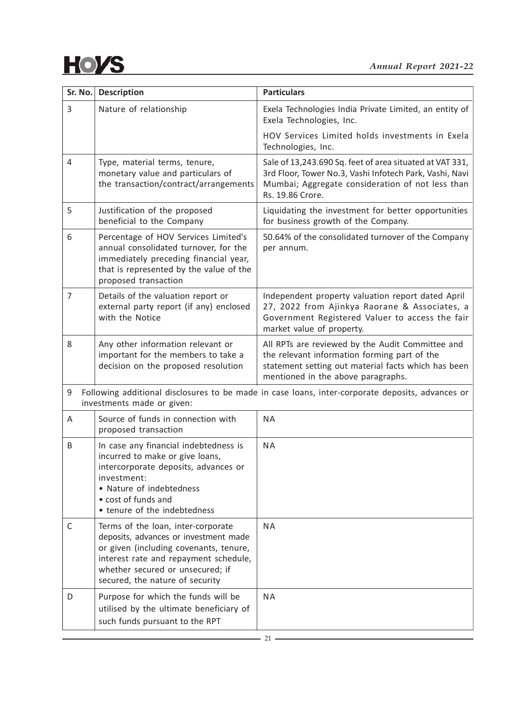| Sr. No.        | <b>Description</b>                                                                                                                                                                                                                    | <b>Particulars</b>                                                                                                                                                                            |
|----------------|---------------------------------------------------------------------------------------------------------------------------------------------------------------------------------------------------------------------------------------|-----------------------------------------------------------------------------------------------------------------------------------------------------------------------------------------------|
| 3              | Nature of relationship                                                                                                                                                                                                                | Exela Technologies India Private Limited, an entity of<br>Exela Technologies, Inc.                                                                                                            |
|                |                                                                                                                                                                                                                                       | HOV Services Limited holds investments in Exela<br>Technologies, Inc.                                                                                                                         |
| $\overline{4}$ | Type, material terms, tenure,<br>monetary value and particulars of<br>the transaction/contract/arrangements                                                                                                                           | Sale of 13,243.690 Sq. feet of area situated at VAT 331,<br>3rd Floor, Tower No.3, Vashi Infotech Park, Vashi, Navi<br>Mumbai; Aggregate consideration of not less than<br>Rs. 19.86 Crore.   |
| 5              | Justification of the proposed<br>beneficial to the Company                                                                                                                                                                            | Liquidating the investment for better opportunities<br>for business growth of the Company.                                                                                                    |
| 6              | Percentage of HOV Services Limited's<br>annual consolidated turnover, for the<br>immediately preceding financial year,<br>that is represented by the value of the<br>proposed transaction                                             | 50.64% of the consolidated turnover of the Company<br>per annum.                                                                                                                              |
| 7              | Details of the valuation report or<br>external party report (if any) enclosed<br>with the Notice                                                                                                                                      | Independent property valuation report dated April<br>27, 2022 from Ajinkya Raorane & Associates, a<br>Government Registered Valuer to access the fair<br>market value of property.            |
| 8              | Any other information relevant or<br>important for the members to take a<br>decision on the proposed resolution                                                                                                                       | All RPTs are reviewed by the Audit Committee and<br>the relevant information forming part of the<br>statement setting out material facts which has been<br>mentioned in the above paragraphs. |
| 9              | investments made or given:                                                                                                                                                                                                            | Following additional disclosures to be made in case loans, inter-corporate deposits, advances or                                                                                              |
| Α              | Source of funds in connection with<br>proposed transaction                                                                                                                                                                            | <b>NA</b>                                                                                                                                                                                     |
| B              | In case any financial indebtedness is<br>incurred to make or give loans,<br>intercorporate deposits, advances or<br>investment:<br>• Nature of indebtedness<br>• cost of funds and<br>• tenure of the indebtedness                    | <b>NA</b>                                                                                                                                                                                     |
| C              | Terms of the loan, inter-corporate<br>deposits, advances or investment made<br>or given (including covenants, tenure,<br>interest rate and repayment schedule,<br>whether secured or unsecured; if<br>secured, the nature of security | <b>NA</b>                                                                                                                                                                                     |
| D              | Purpose for which the funds will be<br>utilised by the ultimate beneficiary of<br>such funds pursuant to the RPT                                                                                                                      | <b>NA</b>                                                                                                                                                                                     |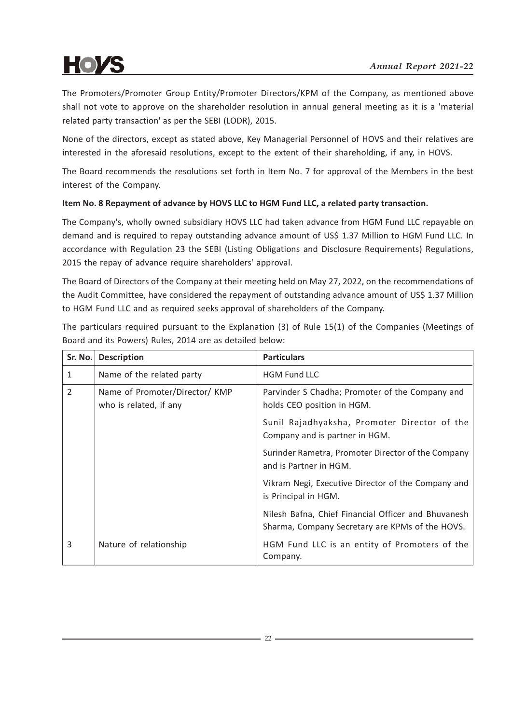The Promoters/Promoter Group Entity/Promoter Directors/KPM of the Company, as mentioned above shall not vote to approve on the shareholder resolution in annual general meeting as it is a 'material related party transaction' as per the SEBI (LODR), 2015.

None of the directors, except as stated above, Key Managerial Personnel of HOVS and their relatives are interested in the aforesaid resolutions, except to the extent of their shareholding, if any, in HOVS.

The Board recommends the resolutions set forth in Item No. 7 for approval of the Members in the best interest of the Company.

## Item No. 8 Repayment of advance by HOVS LLC to HGM Fund LLC, a related party transaction.

The Company's, wholly owned subsidiary HOVS LLC had taken advance from HGM Fund LLC repayable on demand and is required to repay outstanding advance amount of US\$ 1.37 Million to HGM Fund LLC. In accordance with Regulation 23 the SEBI (Listing Obligations and Disclosure Requirements) Regulations, 2015 the repay of advance require shareholders' approval.

The Board of Directors of the Company at their meeting held on May 27, 2022, on the recommendations of the Audit Committee, have considered the repayment of outstanding advance amount of US\$ 1.37 Million to HGM Fund LLC and as required seeks approval of shareholders of the Company.

| Sr. No.        | <b>Description</b>                                       | <b>Particulars</b>                                                                                     |
|----------------|----------------------------------------------------------|--------------------------------------------------------------------------------------------------------|
| 1              | Name of the related party                                | <b>HGM Fund LLC</b>                                                                                    |
| $\overline{2}$ | Name of Promoter/Director/ KMP<br>who is related, if any | Parvinder S Chadha; Promoter of the Company and<br>holds CEO position in HGM.                          |
|                |                                                          | Sunil Rajadhyaksha, Promoter Director of the<br>Company and is partner in HGM.                         |
|                |                                                          | Surinder Rametra, Promoter Director of the Company<br>and is Partner in HGM.                           |
|                |                                                          | Vikram Negi, Executive Director of the Company and<br>is Principal in HGM.                             |
|                |                                                          | Nilesh Bafna, Chief Financial Officer and Bhuvanesh<br>Sharma, Company Secretary are KPMs of the HOVS. |
| 3              | Nature of relationship                                   | HGM Fund LLC is an entity of Promoters of the<br>Company.                                              |

The particulars required pursuant to the Explanation (3) of Rule 15(1) of the Companies (Meetings of Board and its Powers) Rules, 2014 are as detailed below: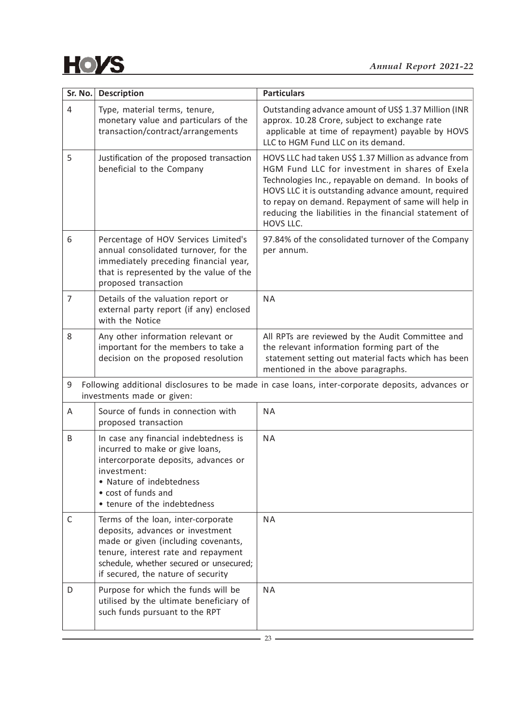| Sr. No. | <b>Description</b>                                                                                                                                                                                                                    | <b>Particulars</b>                                                                                                                                                                                                                                                                                                                                |
|---------|---------------------------------------------------------------------------------------------------------------------------------------------------------------------------------------------------------------------------------------|---------------------------------------------------------------------------------------------------------------------------------------------------------------------------------------------------------------------------------------------------------------------------------------------------------------------------------------------------|
| 4       | Type, material terms, tenure,<br>monetary value and particulars of the<br>transaction/contract/arrangements                                                                                                                           | Outstanding advance amount of US\$ 1.37 Million (INR<br>approx. 10.28 Crore, subject to exchange rate<br>applicable at time of repayment) payable by HOVS<br>LLC to HGM Fund LLC on its demand.                                                                                                                                                   |
| 5       | Justification of the proposed transaction<br>beneficial to the Company                                                                                                                                                                | HOVS LLC had taken US\$ 1.37 Million as advance from<br>HGM Fund LLC for investment in shares of Exela<br>Technologies Inc., repayable on demand. In books of<br>HOVS LLC it is outstanding advance amount, required<br>to repay on demand. Repayment of same will help in<br>reducing the liabilities in the financial statement of<br>HOVS LLC. |
| 6       | Percentage of HOV Services Limited's<br>annual consolidated turnover, for the<br>immediately preceding financial year,<br>that is represented by the value of the<br>proposed transaction                                             | 97.84% of the consolidated turnover of the Company<br>per annum.                                                                                                                                                                                                                                                                                  |
| 7       | Details of the valuation report or<br>external party report (if any) enclosed<br>with the Notice                                                                                                                                      | <b>NA</b>                                                                                                                                                                                                                                                                                                                                         |
| 8       | Any other information relevant or<br>important for the members to take a<br>decision on the proposed resolution                                                                                                                       | All RPTs are reviewed by the Audit Committee and<br>the relevant information forming part of the<br>statement setting out material facts which has been<br>mentioned in the above paragraphs.                                                                                                                                                     |
| 9       | Following additional disclosures to be made in case loans, inter-corporate deposits, advances or<br>investments made or given:                                                                                                        |                                                                                                                                                                                                                                                                                                                                                   |
| Α       | Source of funds in connection with<br>proposed transaction                                                                                                                                                                            | <b>NA</b>                                                                                                                                                                                                                                                                                                                                         |
| B       | In case any financial indebtedness is<br>incurred to make or give loans,<br>intercorporate deposits, advances or<br>investment:<br>• Nature of indebtedness<br>• cost of funds and<br>• tenure of the indebtedness                    | <b>NA</b>                                                                                                                                                                                                                                                                                                                                         |
| C       | Terms of the loan, inter-corporate<br>deposits, advances or investment<br>made or given (including covenants,<br>tenure, interest rate and repayment<br>schedule, whether secured or unsecured;<br>if secured, the nature of security | <b>NA</b>                                                                                                                                                                                                                                                                                                                                         |
| D       | Purpose for which the funds will be<br>utilised by the ultimate beneficiary of<br>such funds pursuant to the RPT                                                                                                                      | <b>NA</b>                                                                                                                                                                                                                                                                                                                                         |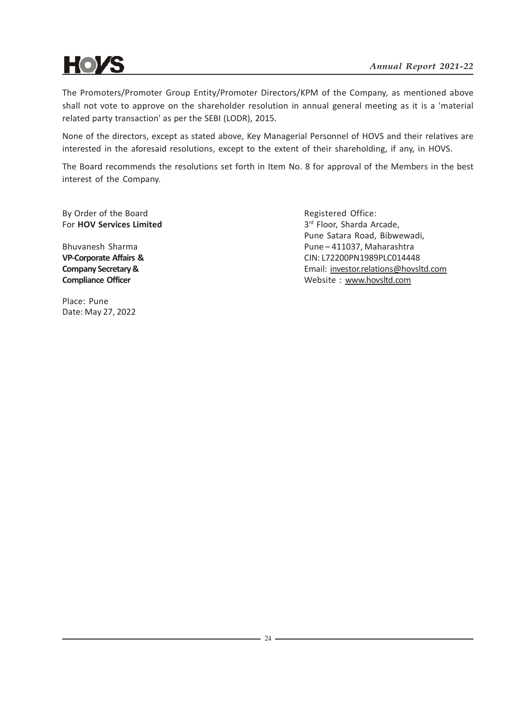The Promoters/Promoter Group Entity/Promoter Directors/KPM of the Company, as mentioned above shall not vote to approve on the shareholder resolution in annual general meeting as it is a 'material related party transaction' as per the SEBI (LODR), 2015.

None of the directors, except as stated above, Key Managerial Personnel of HOVS and their relatives are interested in the aforesaid resolutions, except to the extent of their shareholding, if any, in HOVS.

The Board recommends the resolutions set forth in Item No. 8 for approval of the Members in the best interest of the Company.

By Order of the Board Registered Office: For HOV Services Limited 3rd Floor, Sharda Arcade,

Pune Satara Road, Bibwewadi, Bhuvanesh Sharma Pune – 411037, Maharashtra VP-Corporate Affairs & CIN: L72200PN1989PLC014448 Company Secretary & Email: investor.relations@hovsltd.com **Compliance Officer Website : www.hovsltd.com** 

Place: Pune Date: May 27, 2022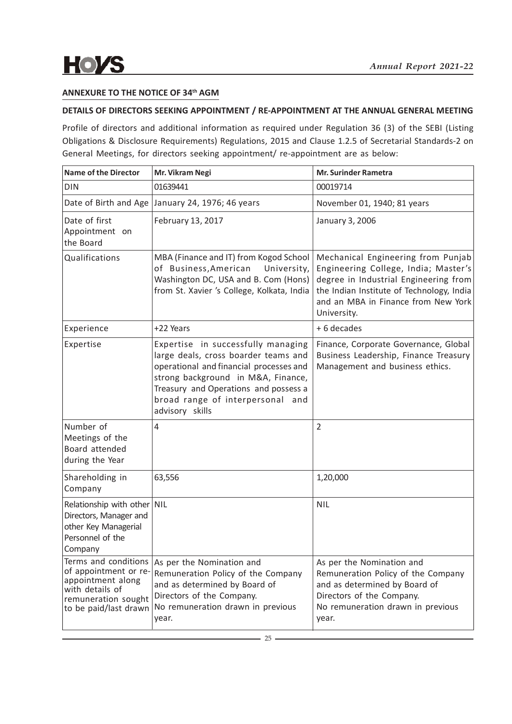## ANNEXURE TO THE NOTICE OF 34th AGM

#### DETAILS OF DIRECTORS SEEKING APPOINTMENT / RE-APPOINTMENT AT THE ANNUAL GENERAL MEETING

Profile of directors and additional information as required under Regulation 36 (3) of the SEBI (Listing Obligations & Disclosure Requirements) Regulations, 2015 and Clause 1.2.5 of Secretarial Standards-2 on General Meetings, for directors seeking appointment/ re-appointment are as below:

| <b>Name of the Director</b>                                                                                                           | Mr. Vikram Negi                                                                                                                                                                                                                                             | <b>Mr. Surinder Rametra</b>                                                                                                                                                                                            |
|---------------------------------------------------------------------------------------------------------------------------------------|-------------------------------------------------------------------------------------------------------------------------------------------------------------------------------------------------------------------------------------------------------------|------------------------------------------------------------------------------------------------------------------------------------------------------------------------------------------------------------------------|
| <b>DIN</b>                                                                                                                            | 01639441                                                                                                                                                                                                                                                    | 00019714                                                                                                                                                                                                               |
| Date of Birth and Age                                                                                                                 | January 24, 1976; 46 years                                                                                                                                                                                                                                  | November 01, 1940; 81 years                                                                                                                                                                                            |
| Date of first<br>Appointment on<br>the Board                                                                                          | February 13, 2017                                                                                                                                                                                                                                           | January 3, 2006                                                                                                                                                                                                        |
| Qualifications                                                                                                                        | MBA (Finance and IT) from Kogod School<br>of Business, American<br>University,<br>Washington DC, USA and B. Com (Hons)<br>from St. Xavier 's College, Kolkata, India                                                                                        | Mechanical Engineering from Punjab<br>Engineering College, India; Master's<br>degree in Industrial Engineering from<br>the Indian Institute of Technology, India<br>and an MBA in Finance from New York<br>University. |
| Experience                                                                                                                            | +22 Years                                                                                                                                                                                                                                                   | +6 decades                                                                                                                                                                                                             |
| Expertise                                                                                                                             | Expertise in successfully managing<br>large deals, cross boarder teams and<br>operational and financial processes and<br>strong background in M&A, Finance,<br>Treasury and Operations and possess a<br>broad range of interpersonal and<br>advisory skills | Finance, Corporate Governance, Global<br>Business Leadership, Finance Treasury<br>Management and business ethics.                                                                                                      |
| Number of<br>Meetings of the<br>Board attended<br>during the Year                                                                     | 4                                                                                                                                                                                                                                                           | $\overline{2}$                                                                                                                                                                                                         |
| Shareholding in<br>Company                                                                                                            | 63,556                                                                                                                                                                                                                                                      | 1,20,000                                                                                                                                                                                                               |
| Relationship with other NIL<br>Directors, Manager and<br>other Key Managerial<br>Personnel of the<br>Company                          |                                                                                                                                                                                                                                                             | <b>NIL</b>                                                                                                                                                                                                             |
| Terms and conditions<br>of appointment or re-<br>appointment along<br>with details of<br>remuneration sought<br>to be paid/last drawn | As per the Nomination and<br>Remuneration Policy of the Company<br>and as determined by Board of<br>Directors of the Company.<br>No remuneration drawn in previous<br>year.                                                                                 | As per the Nomination and<br>Remuneration Policy of the Company<br>and as determined by Board of<br>Directors of the Company.<br>No remuneration drawn in previous<br>year.                                            |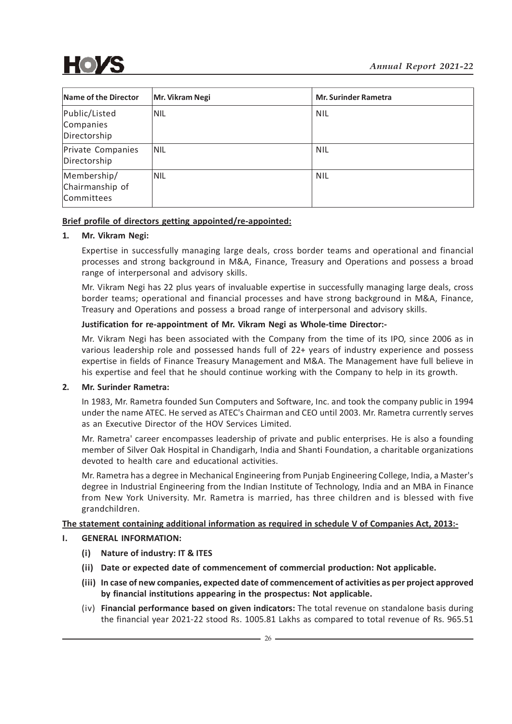# $\blacksquare(\bullet)$  /  $\blacktriangleright$

| Name of the Director                         | Mr. Vikram Negi | <b>Mr. Surinder Rametra</b> |
|----------------------------------------------|-----------------|-----------------------------|
| Public/Listed<br>Companies<br>Directorship   | <b>NIL</b>      | <b>NIL</b>                  |
| Private Companies<br>Directorship            | <b>NIL</b>      | <b>NIL</b>                  |
| Membership/<br>Chairmanship of<br>Committees | INIL.           | <b>NIL</b>                  |

## Brief profile of directors getting appointed/re-appointed:

#### 1. Mr. Vikram Negi:

Expertise in successfully managing large deals, cross border teams and operational and financial processes and strong background in M&A, Finance, Treasury and Operations and possess a broad range of interpersonal and advisory skills.

Mr. Vikram Negi has 22 plus years of invaluable expertise in successfully managing large deals, cross border teams; operational and financial processes and have strong background in M&A, Finance, Treasury and Operations and possess a broad range of interpersonal and advisory skills.

## Justification for re-appointment of Mr. Vikram Negi as Whole-time Director:-

Mr. Vikram Negi has been associated with the Company from the time of its IPO, since 2006 as in various leadership role and possessed hands full of 22+ years of industry experience and possess expertise in fields of Finance Treasury Management and M&A. The Management have full believe in his expertise and feel that he should continue working with the Company to help in its growth.

## 2. Mr. Surinder Rametra:

In 1983, Mr. Rametra founded Sun Computers and Software, Inc. and took the company public in 1994 under the name ATEC. He served as ATEC's Chairman and CEO until 2003. Mr. Rametra currently serves as an Executive Director of the HOV Services Limited.

Mr. Rametra' career encompasses leadership of private and public enterprises. He is also a founding member of Silver Oak Hospital in Chandigarh, India and Shanti Foundation, a charitable organizations devoted to health care and educational activities.

Mr. Rametra has a degree in Mechanical Engineering from Punjab Engineering College, India, a Master's degree in Industrial Engineering from the Indian Institute of Technology, India and an MBA in Finance from New York University. Mr. Rametra is married, has three children and is blessed with five grandchildren.

## The statement containing additional information as required in schedule V of Companies Act, 2013:-

- I. GENERAL INFORMATION:
	- (i) Nature of industry: IT & ITES
	- (ii) Date or expected date of commencement of commercial production: Not applicable.
	- (iii) In case of new companies, expected date of commencement of activities as per project approved by financial institutions appearing in the prospectus: Not applicable.
	- (iv) Financial performance based on given indicators: The total revenue on standalone basis during the financial year 2021-22 stood Rs. 1005.81 Lakhs as compared to total revenue of Rs. 965.51